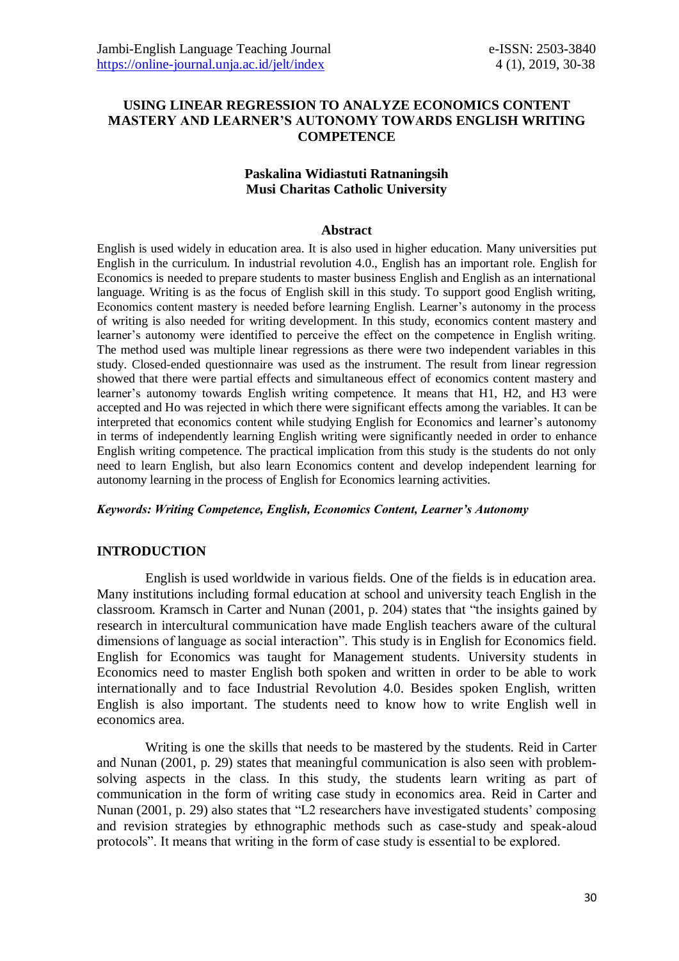## **USING LINEAR REGRESSION TO ANALYZE ECONOMICS CONTENT MASTERY AND LEARNER'S AUTONOMY TOWARDS ENGLISH WRITING COMPETENCE**

### **Paskalina Widiastuti Ratnaningsih Musi Charitas Catholic University**

#### **Abstract**

English is used widely in education area. It is also used in higher education. Many universities put English in the curriculum. In industrial revolution 4.0., English has an important role. English for Economics is needed to prepare students to master business English and English as an international language. Writing is as the focus of English skill in this study. To support good English writing, Economics content mastery is needed before learning English. Learner's autonomy in the process of writing is also needed for writing development. In this study, economics content mastery and learner's autonomy were identified to perceive the effect on the competence in English writing. The method used was multiple linear regressions as there were two independent variables in this study. Closed-ended questionnaire was used as the instrument. The result from linear regression showed that there were partial effects and simultaneous effect of economics content mastery and learner's autonomy towards English writing competence. It means that H1, H2, and H3 were accepted and Ho was rejected in which there were significant effects among the variables. It can be interpreted that economics content while studying English for Economics and learner's autonomy in terms of independently learning English writing were significantly needed in order to enhance English writing competence. The practical implication from this study is the students do not only need to learn English, but also learn Economics content and develop independent learning for autonomy learning in the process of English for Economics learning activities.

#### *Keywords: Writing Competence, English, Economics Content, Learner's Autonomy*

### **INTRODUCTION**

English is used worldwide in various fields. One of the fields is in education area. Many institutions including formal education at school and university teach English in the classroom. Kramsch in Carter and Nunan (2001, p. 204) states that "the insights gained by research in intercultural communication have made English teachers aware of the cultural dimensions of language as social interaction". This study is in English for Economics field. English for Economics was taught for Management students. University students in Economics need to master English both spoken and written in order to be able to work internationally and to face Industrial Revolution 4.0. Besides spoken English, written English is also important. The students need to know how to write English well in economics area.

Writing is one the skills that needs to be mastered by the students. Reid in Carter and Nunan (2001, p. 29) states that meaningful communication is also seen with problemsolving aspects in the class. In this study, the students learn writing as part of communication in the form of writing case study in economics area. Reid in Carter and Nunan (2001, p. 29) also states that "L2 researchers have investigated students' composing and revision strategies by ethnographic methods such as case-study and speak-aloud protocols". It means that writing in the form of case study is essential to be explored.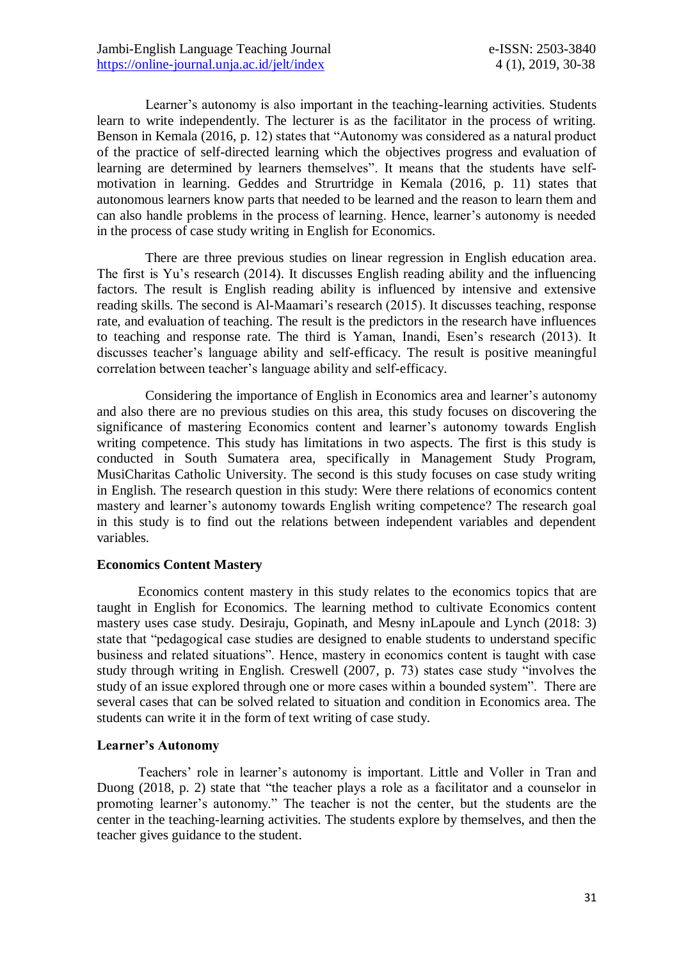Learner's autonomy is also important in the teaching-learning activities. Students learn to write independently. The lecturer is as the facilitator in the process of writing. Benson in Kemala (2016, p. 12) states that "Autonomy was considered as a natural product of the practice of self-directed learning which the objectives progress and evaluation of learning are determined by learners themselves". It means that the students have selfmotivation in learning. Geddes and Strurtridge in Kemala (2016, p. 11) states that autonomous learners know parts that needed to be learned and the reason to learn them and can also handle problems in the process of learning. Hence, learner's autonomy is needed in the process of case study writing in English for Economics.

There are three previous studies on linear regression in English education area. The first is Yu's research (2014). It discusses English reading ability and the influencing factors. The result is English reading ability is influenced by intensive and extensive reading skills. The second is Al-Maamari's research (2015). It discusses teaching, response rate, and evaluation of teaching. The result is the predictors in the research have influences to teaching and response rate. The third is Yaman, Inandi, Esen's research (2013). It discusses teacher's language ability and self-efficacy. The result is positive meaningful correlation between teacher's language ability and self-efficacy.

Considering the importance of English in Economics area and learner's autonomy and also there are no previous studies on this area, this study focuses on discovering the significance of mastering Economics content and learner's autonomy towards English writing competence. This study has limitations in two aspects. The first is this study is conducted in South Sumatera area, specifically in Management Study Program, MusiCharitas Catholic University. The second is this study focuses on case study writing in English. The research question in this study: Were there relations of economics content mastery and learner's autonomy towards English writing competence? The research goal in this study is to find out the relations between independent variables and dependent variables.

#### **Economics Content Mastery**

Economics content mastery in this study relates to the economics topics that are taught in English for Economics. The learning method to cultivate Economics content mastery uses case study. Desiraju, Gopinath, and Mesny inLapoule and Lynch (2018: 3) state that "pedagogical case studies are designed to enable students to understand specific business and related situations". Hence, mastery in economics content is taught with case study through writing in English. Creswell (2007, p. 73) states case study "involves the study of an issue explored through one or more cases within a bounded system". There are several cases that can be solved related to situation and condition in Economics area. The students can write it in the form of text writing of case study.

### **Learner's Autonomy**

Teachers' role in learner's autonomy is important. Little and Voller in Tran and Duong (2018, p. 2) state that "the teacher plays a role as a facilitator and a counselor in promoting learner's autonomy." The teacher is not the center, but the students are the center in the teaching-learning activities. The students explore by themselves, and then the teacher gives guidance to the student.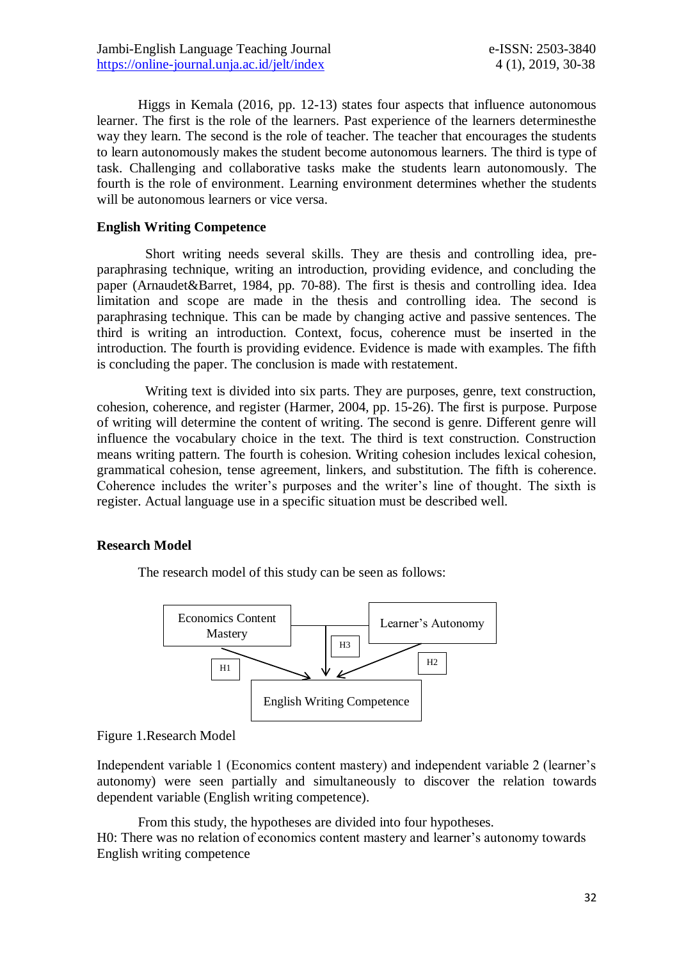Higgs in Kemala (2016, pp. 12-13) states four aspects that influence autonomous learner. The first is the role of the learners. Past experience of the learners determinesthe way they learn. The second is the role of teacher. The teacher that encourages the students to learn autonomously makes the student become autonomous learners. The third is type of task. Challenging and collaborative tasks make the students learn autonomously. The fourth is the role of environment. Learning environment determines whether the students will be autonomous learners or vice versa.

### **English Writing Competence**

Short writing needs several skills. They are thesis and controlling idea, preparaphrasing technique, writing an introduction, providing evidence, and concluding the paper (Arnaudet&Barret, 1984, pp. 70-88). The first is thesis and controlling idea. Idea limitation and scope are made in the thesis and controlling idea. The second is paraphrasing technique. This can be made by changing active and passive sentences. The third is writing an introduction. Context, focus, coherence must be inserted in the introduction. The fourth is providing evidence. Evidence is made with examples. The fifth is concluding the paper. The conclusion is made with restatement.

Writing text is divided into six parts. They are purposes, genre, text construction, cohesion, coherence, and register (Harmer, 2004, pp. 15-26). The first is purpose. Purpose of writing will determine the content of writing. The second is genre. Different genre will influence the vocabulary choice in the text. The third is text construction. Construction means writing pattern. The fourth is cohesion. Writing cohesion includes lexical cohesion, grammatical cohesion, tense agreement, linkers, and substitution. The fifth is coherence. Coherence includes the writer's purposes and the writer's line of thought. The sixth is register. Actual language use in a specific situation must be described well.

### **Research Model**

The research model of this study can be seen as follows:



#### Figure 1.Research Model

Independent variable 1 (Economics content mastery) and independent variable 2 (learner's autonomy) were seen partially and simultaneously to discover the relation towards dependent variable (English writing competence).

From this study, the hypotheses are divided into four hypotheses. H0: There was no relation of economics content mastery and learner's autonomy towards English writing competence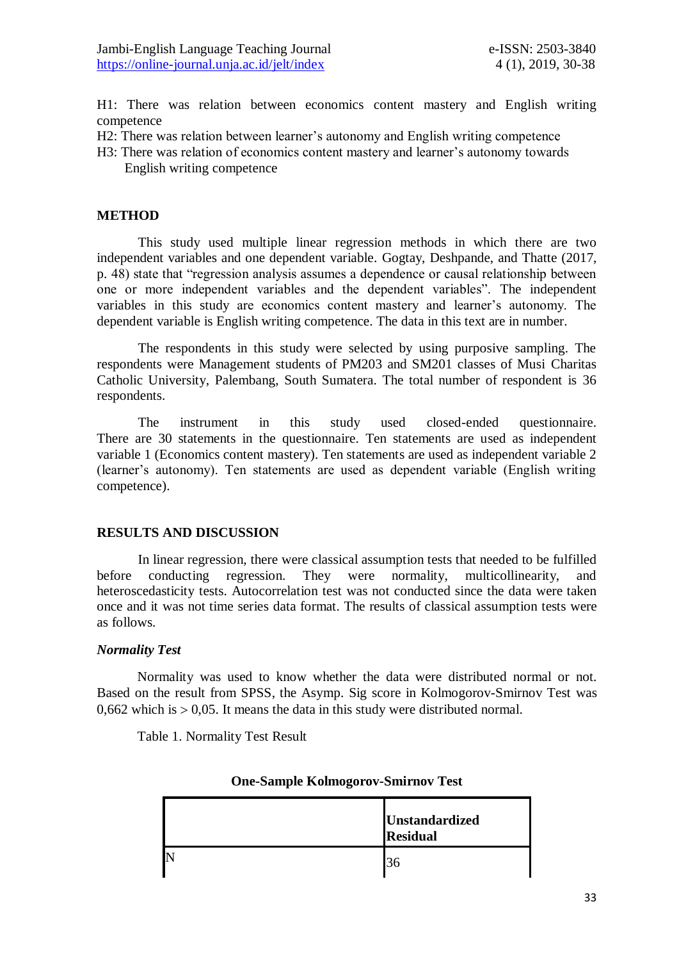H1: There was relation between economics content mastery and English writing competence

- H2: There was relation between learner's autonomy and English writing competence
- H3: There was relation of economics content mastery and learner's autonomy towards English writing competence

### **METHOD**

This study used multiple linear regression methods in which there are two independent variables and one dependent variable. Gogtay, Deshpande, and Thatte (2017, p. 48) state that "regression analysis assumes a dependence or causal relationship between one or more independent variables and the dependent variables". The independent variables in this study are economics content mastery and learner's autonomy. The dependent variable is English writing competence. The data in this text are in number.

The respondents in this study were selected by using purposive sampling. The respondents were Management students of PM203 and SM201 classes of Musi Charitas Catholic University, Palembang, South Sumatera. The total number of respondent is 36 respondents.

The instrument in this study used closed-ended questionnaire. There are 30 statements in the questionnaire. Ten statements are used as independent variable 1 (Economics content mastery). Ten statements are used as independent variable 2 (learner's autonomy). Ten statements are used as dependent variable (English writing competence).

#### **RESULTS AND DISCUSSION**

In linear regression, there were classical assumption tests that needed to be fulfilled before conducting regression. They were normality, multicollinearity, and heteroscedasticity tests. Autocorrelation test was not conducted since the data were taken once and it was not time series data format. The results of classical assumption tests were as follows.

#### *Normality Test*

Normality was used to know whether the data were distributed normal or not. Based on the result from SPSS, the Asymp. Sig score in Kolmogorov-Smirnov Test was  $0.662$  which is  $> 0.05$ . It means the data in this study were distributed normal.

Table 1. Normality Test Result

| <b>Unstandardized</b><br><b>Residual</b> |
|------------------------------------------|
| 36                                       |

### **One-Sample Kolmogorov-Smirnov Test**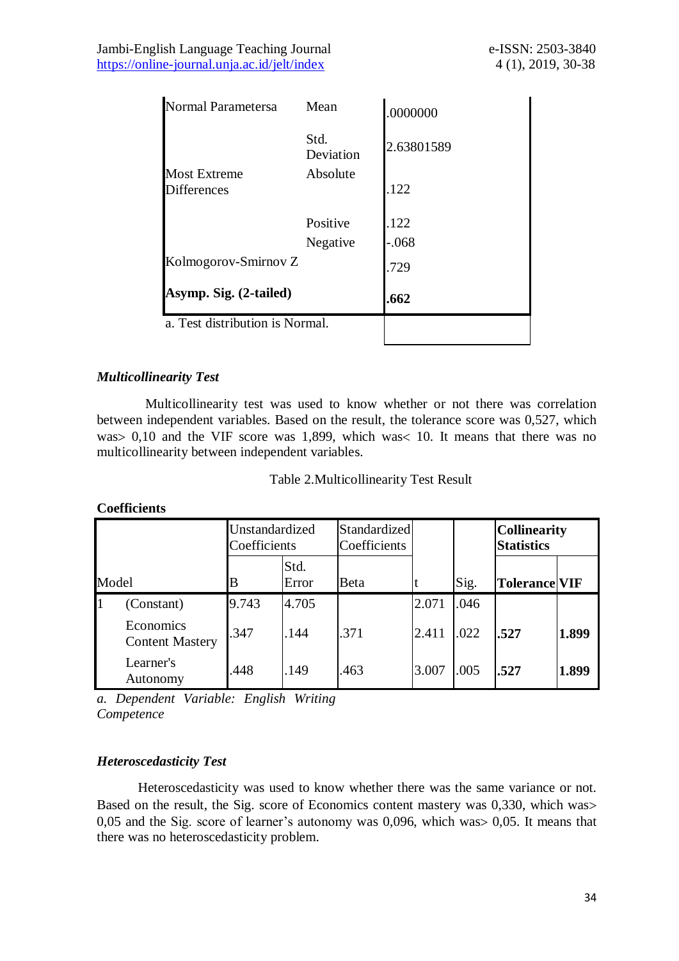Jambi-English Language Teaching Journal e-ISSN: 2503-3840 <https://online-journal.unja.ac.id/jelt/index> 4 (1), 2019, 30-38

| Normal Parametersa                        | Mean              | .0000000   |
|-------------------------------------------|-------------------|------------|
|                                           | Std.<br>Deviation | 2.63801589 |
| <b>Most Extreme</b><br><b>Differences</b> | Absolute          | .122       |
|                                           | Positive          | .122       |
|                                           | Negative          | $-.068$    |
| Kolmogorov-Smirnov Z                      |                   | .729       |
| Asymp. Sig. (2-tailed)                    |                   | .662       |
| a. Test distribution is Normal.           |                   |            |

### *Multicollinearity Test*

Multicollinearity test was used to know whether or not there was correlation between independent variables. Based on the result, the tolerance score was 0,527, which was  $0,10$  and the VIF score was 1,899, which was  $10$ . It means that there was no multicollinearity between independent variables.

#### Table 2.Multicollinearity Test Result

### **Coefficients**

|       |                                     | Unstandardized<br>Coefficients |               | Standardized<br>Coefficients |       |      | <b>Collinearity</b><br><b>Statistics</b> |       |
|-------|-------------------------------------|--------------------------------|---------------|------------------------------|-------|------|------------------------------------------|-------|
| Model |                                     | В                              | Std.<br>Error | Beta                         |       | Sig. | <b>Tolerance VIF</b>                     |       |
|       | (Constant)                          | 9.743                          | 4.705         |                              | 2.071 | .046 |                                          |       |
|       | Economics<br><b>Content Mastery</b> | .347                           | .144          | .371                         | 2.411 | .022 | .527                                     | 1.899 |
|       | Learner's<br>Autonomy               | .448                           | .149          | .463                         | 3.007 | .005 | .527                                     | 1.899 |

*a. Dependent Variable: English Writing Competence*

#### *Heteroscedasticity Test*

Heteroscedasticity was used to know whether there was the same variance or not. Based on the result, the Sig. score of Economics content mastery was 0,330, which was  $0.05$  and the Sig. score of learner's autonomy was  $0.096$ , which was  $0.05$ . It means that there was no heteroscedasticity problem.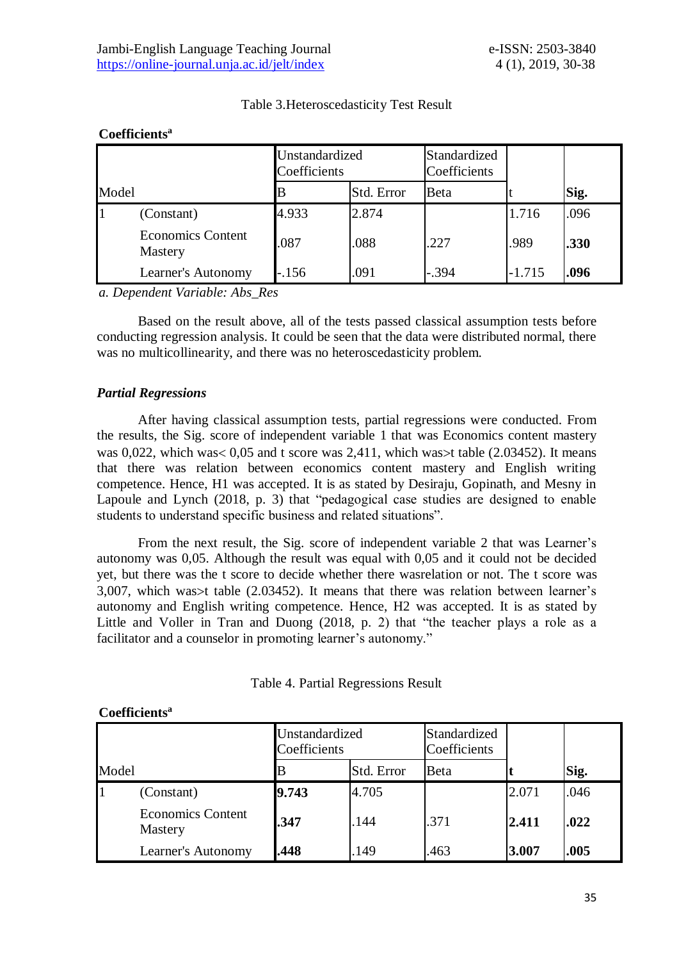|       |                                     | Unstandardized<br>Coefficients |            | Standardized<br>Coefficients |          |      |
|-------|-------------------------------------|--------------------------------|------------|------------------------------|----------|------|
| Model |                                     |                                | Std. Error | <b>B</b> eta                 |          | Sig. |
|       | (Constant)                          | 4.933                          | 2.874      |                              | 1.716    | .096 |
|       | <b>Economics Content</b><br>Mastery | .087                           | .088       | .227                         | .989     | .330 |
|       | Learner's Autonomy                  | $-156$                         | .091       | $-.394$                      | $-1.715$ | .096 |

# Table 3.Heteroscedasticity Test Result

# **Coefficients<sup>a</sup>**

*a. Dependent Variable: Abs\_Res*

Based on the result above, all of the tests passed classical assumption tests before conducting regression analysis. It could be seen that the data were distributed normal, there was no multicollinearity, and there was no heteroscedasticity problem.

# *Partial Regressions*

After having classical assumption tests, partial regressions were conducted. From the results, the Sig. score of independent variable 1 that was Economics content mastery was 0,022, which was  $0.05$  and t score was 2,411, which was  $\times$  table (2.03452). It means that there was relation between economics content mastery and English writing competence. Hence, H1 was accepted. It is as stated by Desiraju, Gopinath, and Mesny in Lapoule and Lynch (2018, p. 3) that "pedagogical case studies are designed to enable students to understand specific business and related situations".

From the next result, the Sig. score of independent variable 2 that was Learner's autonomy was 0,05. Although the result was equal with 0,05 and it could not be decided yet, but there was the t score to decide whether there wasrelation or not. The t score was 3,007, which was  $\times$  table (2.03452). It means that there was relation between learner's autonomy and English writing competence. Hence, H2 was accepted. It is as stated by Little and Voller in Tran and Duong (2018, p. 2) that "the teacher plays a role as a facilitator and a counselor in promoting learner's autonomy."

|       |                                     | Unstandardized<br>Coefficients |            | Standardized<br>Coefficients |       | Sig. |
|-------|-------------------------------------|--------------------------------|------------|------------------------------|-------|------|
| Model |                                     |                                | Std. Error | Beta                         |       |      |
|       | (Constant)                          | 9.743                          | 4.705      |                              | 2.071 | .046 |
|       | <b>Economics Content</b><br>Mastery | .347                           | .144       | .371                         | 2.411 | .022 |
|       | Learner's Autonomy                  | .448                           | .149       | .463                         | 3.007 | .005 |

### **Coefficients<sup>a</sup>**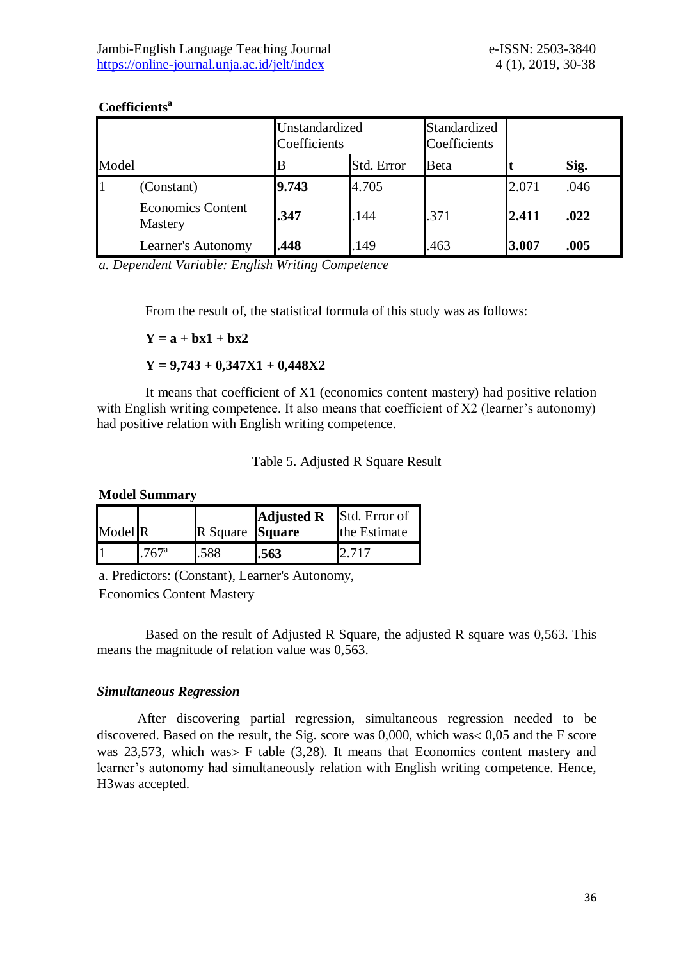|       |                                     | Unstandardized<br>Coefficients |            | Standardized<br>Coefficients |       |      |
|-------|-------------------------------------|--------------------------------|------------|------------------------------|-------|------|
| Model |                                     |                                | Std. Error | Beta                         |       | Sig. |
|       | (Constant)                          | 9.743                          | 4.705      |                              | 2.071 | .046 |
|       | <b>Economics Content</b><br>Mastery | .347                           | .144       | .371                         | 2.411 | .022 |
|       | Learner's Autonomy                  | .448                           | 149        | .463                         | 3.007 | .005 |

### **Coefficients<sup>a</sup>**

*a. Dependent Variable: English Writing Competence*

From the result of, the statistical formula of this study was as follows:

 $Y = a + bx1 + bx2$ 

**Y = 9,743 + 0,347X1 + 0,448X2**

It means that coefficient of X1 (economics content mastery) had positive relation with English writing competence. It also means that coefficient of X2 (learner's autonomy) had positive relation with English writing competence.

|  |  | Table 5. Adjusted R Square Result |  |
|--|--|-----------------------------------|--|
|--|--|-----------------------------------|--|

**Model Summary**

|         |                 |                 | <b>Adjusted R</b> | Std. Error of |
|---------|-----------------|-----------------|-------------------|---------------|
| Model R |                 | R Square Square |                   | the Estimate  |
|         | $1.767^{\rm a}$ | .588            | .563              |               |

a. Predictors: (Constant), Learner's Autonomy, Economics Content Mastery

Based on the result of Adjusted R Square, the adjusted R square was 0,563. This means the magnitude of relation value was 0,563.

### *Simultaneous Regression*

After discovering partial regression, simultaneous regression needed to be discovered. Based on the result, the Sig. score was  $0,000$ , which was  $0,05$  and the F score was 23,573, which was F table  $(3,28)$ . It means that Economics content mastery and learner's autonomy had simultaneously relation with English writing competence. Hence, H3was accepted.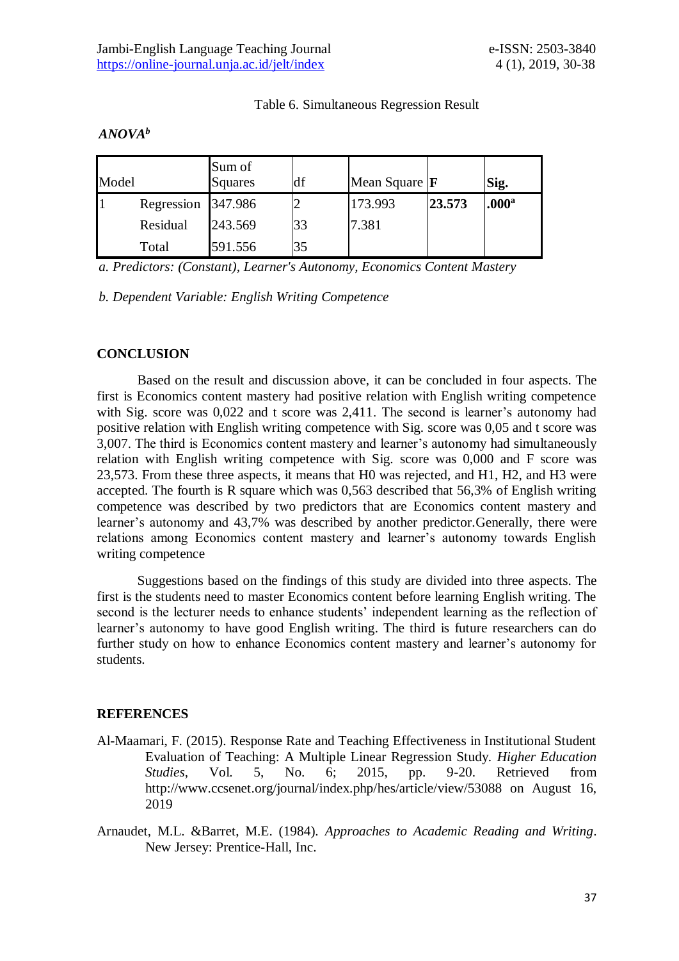### Table 6. Simultaneous Regression Result

# *ANOVA<sup>b</sup>*

| Model |                    | Sum of<br><b>Squares</b> | df | Mean Square $ F $ |        | Sig.              |
|-------|--------------------|--------------------------|----|-------------------|--------|-------------------|
|       | Regression 347.986 |                          |    | 173.993           | 23.573 | .000 <sup>a</sup> |
|       | Residual           | 243.569                  | 33 | 7.381             |        |                   |
|       | Total              | 591.556                  | 35 |                   |        |                   |

*a. Predictors: (Constant), Learner's Autonomy, Economics Content Mastery*

*b. Dependent Variable: English Writing Competence*

# **CONCLUSION**

Based on the result and discussion above, it can be concluded in four aspects. The first is Economics content mastery had positive relation with English writing competence with Sig. score was 0,022 and t score was 2,411. The second is learner's autonomy had positive relation with English writing competence with Sig. score was 0,05 and t score was 3,007. The third is Economics content mastery and learner's autonomy had simultaneously relation with English writing competence with Sig. score was 0,000 and F score was 23,573. From these three aspects, it means that H0 was rejected, and H1, H2, and H3 were accepted. The fourth is R square which was 0,563 described that 56,3% of English writing competence was described by two predictors that are Economics content mastery and learner's autonomy and 43,7% was described by another predictor.Generally, there were relations among Economics content mastery and learner's autonomy towards English writing competence

Suggestions based on the findings of this study are divided into three aspects. The first is the students need to master Economics content before learning English writing. The second is the lecturer needs to enhance students' independent learning as the reflection of learner's autonomy to have good English writing. The third is future researchers can do further study on how to enhance Economics content mastery and learner's autonomy for students.

### **REFERENCES**

- Al-Maamari, F. (2015). Response Rate and Teaching Effectiveness in Institutional Student Evaluation of Teaching: A Multiple Linear Regression Study. *Higher Education Studies*, Vol. 5, No. 6; 2015, pp. 9-20. Retrieved from http://www.ccsenet.org/journal/index.php/hes/article/view/53088 on August 16, 2019
- Arnaudet, M.L. &Barret, M.E. (1984). *Approaches to Academic Reading and Writing*. New Jersey: Prentice-Hall, Inc.